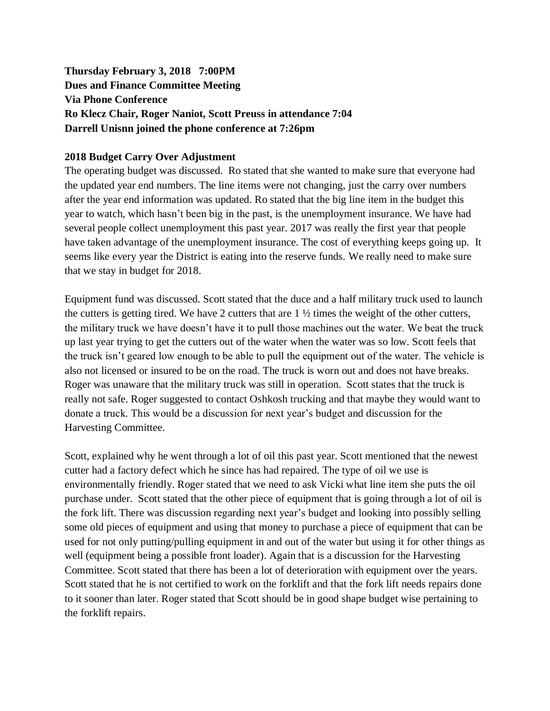# **Thursday February 3, 2018 7:00PM Dues and Finance Committee Meeting Via Phone Conference Ro Klecz Chair, Roger Naniot, Scott Preuss in attendance 7:04 Darrell Unisnn joined the phone conference at 7:26pm**

## **2018 Budget Carry Over Adjustment**

The operating budget was discussed. Ro stated that she wanted to make sure that everyone had the updated year end numbers. The line items were not changing, just the carry over numbers after the year end information was updated. Ro stated that the big line item in the budget this year to watch, which hasn't been big in the past, is the unemployment insurance. We have had several people collect unemployment this past year. 2017 was really the first year that people have taken advantage of the unemployment insurance. The cost of everything keeps going up. It seems like every year the District is eating into the reserve funds. We really need to make sure that we stay in budget for 2018.

Equipment fund was discussed. Scott stated that the duce and a half military truck used to launch the cutters is getting tired. We have 2 cutters that are 1 ½ times the weight of the other cutters, the military truck we have doesn't have it to pull those machines out the water. We beat the truck up last year trying to get the cutters out of the water when the water was so low. Scott feels that the truck isn't geared low enough to be able to pull the equipment out of the water. The vehicle is also not licensed or insured to be on the road. The truck is worn out and does not have breaks. Roger was unaware that the military truck was still in operation. Scott states that the truck is really not safe. Roger suggested to contact Oshkosh trucking and that maybe they would want to donate a truck. This would be a discussion for next year's budget and discussion for the Harvesting Committee.

Scott, explained why he went through a lot of oil this past year. Scott mentioned that the newest cutter had a factory defect which he since has had repaired. The type of oil we use is environmentally friendly. Roger stated that we need to ask Vicki what line item she puts the oil purchase under. Scott stated that the other piece of equipment that is going through a lot of oil is the fork lift. There was discussion regarding next year's budget and looking into possibly selling some old pieces of equipment and using that money to purchase a piece of equipment that can be used for not only putting/pulling equipment in and out of the water but using it for other things as well (equipment being a possible front loader). Again that is a discussion for the Harvesting Committee. Scott stated that there has been a lot of deterioration with equipment over the years. Scott stated that he is not certified to work on the forklift and that the fork lift needs repairs done to it sooner than later. Roger stated that Scott should be in good shape budget wise pertaining to the forklift repairs.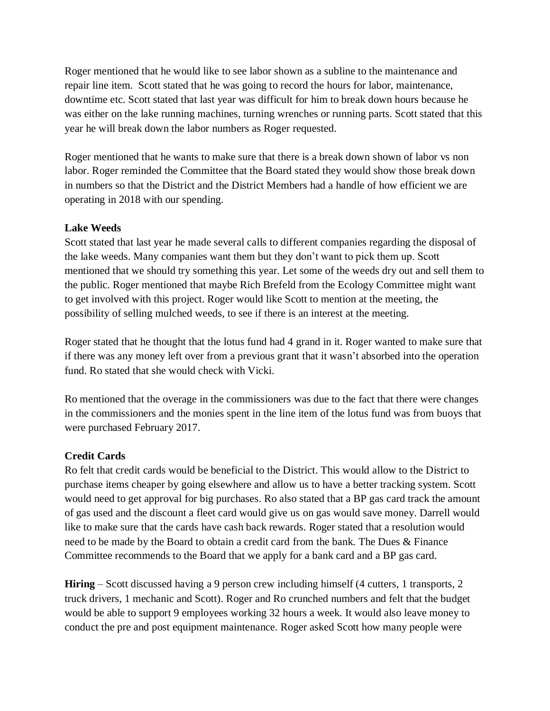Roger mentioned that he would like to see labor shown as a subline to the maintenance and repair line item. Scott stated that he was going to record the hours for labor, maintenance, downtime etc. Scott stated that last year was difficult for him to break down hours because he was either on the lake running machines, turning wrenches or running parts. Scott stated that this year he will break down the labor numbers as Roger requested.

Roger mentioned that he wants to make sure that there is a break down shown of labor vs non labor. Roger reminded the Committee that the Board stated they would show those break down in numbers so that the District and the District Members had a handle of how efficient we are operating in 2018 with our spending.

## **Lake Weeds**

Scott stated that last year he made several calls to different companies regarding the disposal of the lake weeds. Many companies want them but they don't want to pick them up. Scott mentioned that we should try something this year. Let some of the weeds dry out and sell them to the public. Roger mentioned that maybe Rich Brefeld from the Ecology Committee might want to get involved with this project. Roger would like Scott to mention at the meeting, the possibility of selling mulched weeds, to see if there is an interest at the meeting.

Roger stated that he thought that the lotus fund had 4 grand in it. Roger wanted to make sure that if there was any money left over from a previous grant that it wasn't absorbed into the operation fund. Ro stated that she would check with Vicki.

Ro mentioned that the overage in the commissioners was due to the fact that there were changes in the commissioners and the monies spent in the line item of the lotus fund was from buoys that were purchased February 2017.

## **Credit Cards**

Ro felt that credit cards would be beneficial to the District. This would allow to the District to purchase items cheaper by going elsewhere and allow us to have a better tracking system. Scott would need to get approval for big purchases. Ro also stated that a BP gas card track the amount of gas used and the discount a fleet card would give us on gas would save money. Darrell would like to make sure that the cards have cash back rewards. Roger stated that a resolution would need to be made by the Board to obtain a credit card from the bank. The Dues & Finance Committee recommends to the Board that we apply for a bank card and a BP gas card.

**Hiring** – Scott discussed having a 9 person crew including himself (4 cutters, 1 transports, 2 truck drivers, 1 mechanic and Scott). Roger and Ro crunched numbers and felt that the budget would be able to support 9 employees working 32 hours a week. It would also leave money to conduct the pre and post equipment maintenance. Roger asked Scott how many people were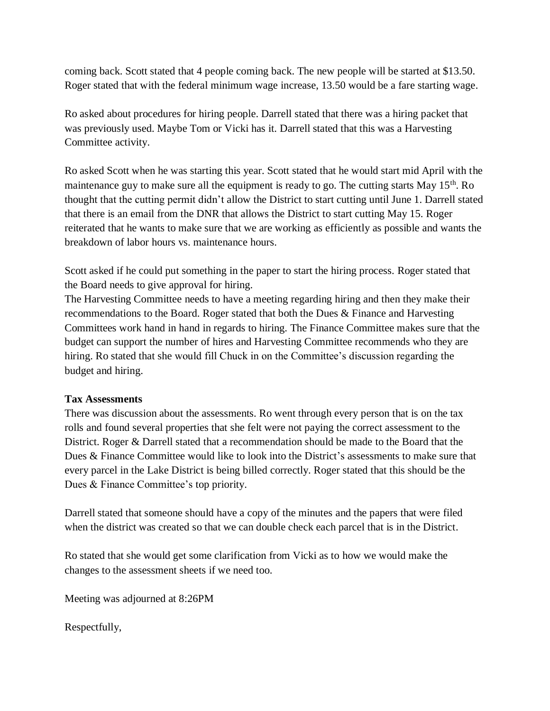coming back. Scott stated that 4 people coming back. The new people will be started at \$13.50. Roger stated that with the federal minimum wage increase, 13.50 would be a fare starting wage.

Ro asked about procedures for hiring people. Darrell stated that there was a hiring packet that was previously used. Maybe Tom or Vicki has it. Darrell stated that this was a Harvesting Committee activity.

Ro asked Scott when he was starting this year. Scott stated that he would start mid April with the maintenance guy to make sure all the equipment is ready to go. The cutting starts May  $15<sup>th</sup>$ . Ro thought that the cutting permit didn't allow the District to start cutting until June 1. Darrell stated that there is an email from the DNR that allows the District to start cutting May 15. Roger reiterated that he wants to make sure that we are working as efficiently as possible and wants the breakdown of labor hours vs. maintenance hours.

Scott asked if he could put something in the paper to start the hiring process. Roger stated that the Board needs to give approval for hiring.

The Harvesting Committee needs to have a meeting regarding hiring and then they make their recommendations to the Board. Roger stated that both the Dues & Finance and Harvesting Committees work hand in hand in regards to hiring. The Finance Committee makes sure that the budget can support the number of hires and Harvesting Committee recommends who they are hiring. Ro stated that she would fill Chuck in on the Committee's discussion regarding the budget and hiring.

## **Tax Assessments**

There was discussion about the assessments. Ro went through every person that is on the tax rolls and found several properties that she felt were not paying the correct assessment to the District. Roger & Darrell stated that a recommendation should be made to the Board that the Dues & Finance Committee would like to look into the District's assessments to make sure that every parcel in the Lake District is being billed correctly. Roger stated that this should be the Dues & Finance Committee's top priority.

Darrell stated that someone should have a copy of the minutes and the papers that were filed when the district was created so that we can double check each parcel that is in the District.

Ro stated that she would get some clarification from Vicki as to how we would make the changes to the assessment sheets if we need too.

Meeting was adjourned at 8:26PM

Respectfully,